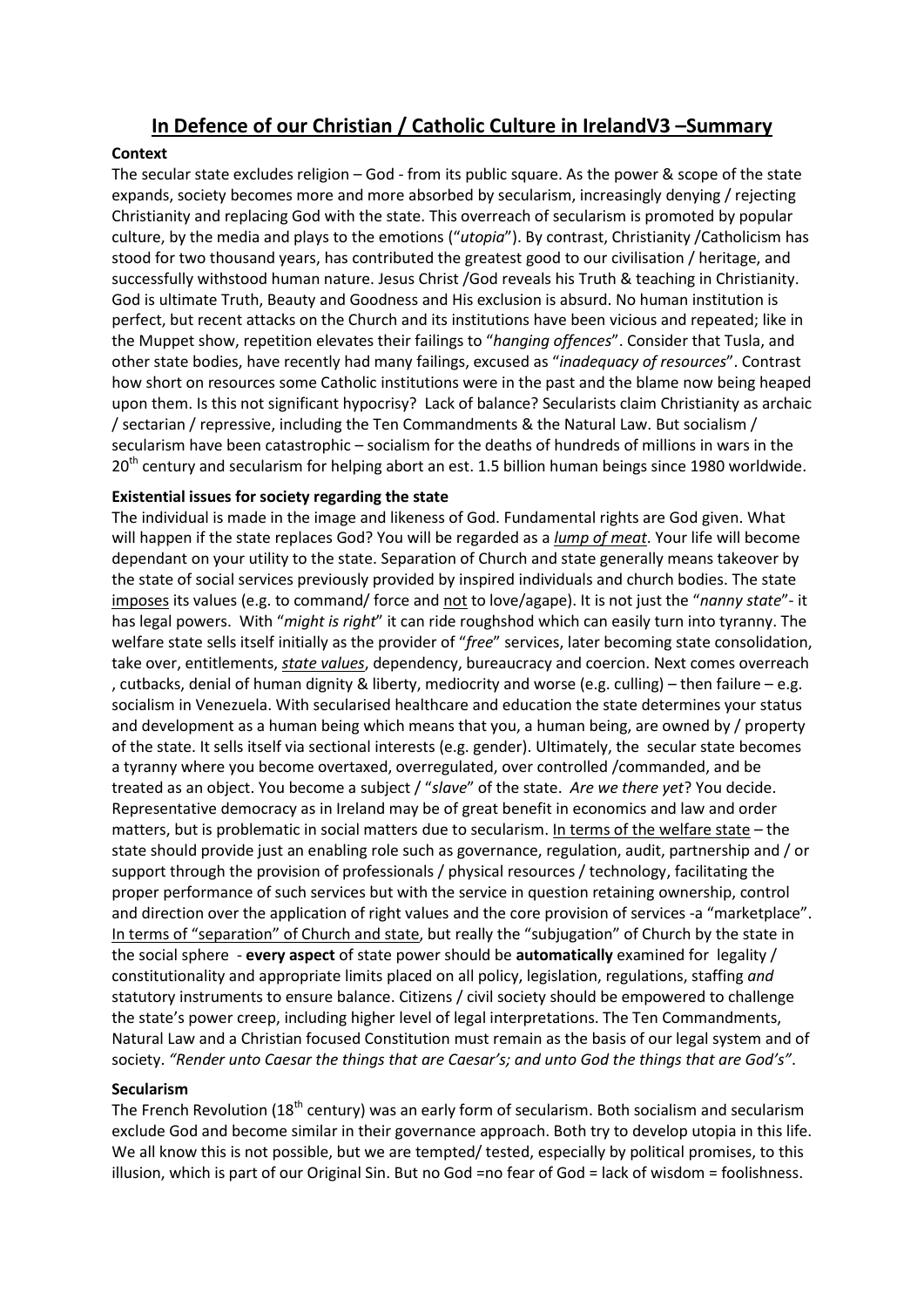# **In Defence of our Christian / Catholic Culture in IrelandV3 –Summary**

### **Context**

The secular state excludes religion – God - from its public square. As the power & scope of the state expands, society becomes more and more absorbed by secularism, increasingly denying / rejecting Christianity and replacing God with the state. This overreach of secularism is promoted by popular culture, by the media and plays to the emotions ("*utopia*"). By contrast, Christianity /Catholicism has stood for two thousand years, has contributed the greatest good to our civilisation / heritage, and successfully withstood human nature. Jesus Christ /God reveals his Truth & teaching in Christianity. God is ultimate Truth, Beauty and Goodness and His exclusion is absurd. No human institution is perfect, but recent attacks on the Church and its institutions have been vicious and repeated; like in the Muppet show, repetition elevates their failings to "*hanging offences*". Consider that Tusla, and other state bodies, have recently had many failings, excused as "*inadequacy of resources*". Contrast how short on resources some Catholic institutions were in the past and the blame now being heaped upon them. Is this not significant hypocrisy? Lack of balance? Secularists claim Christianity as archaic / sectarian / repressive, including the Ten Commandments & the Natural Law. But socialism / secularism have been catastrophic – socialism for the deaths of hundreds of millions in wars in the 20<sup>th</sup> century and secularism for helping abort an est. 1.5 billion human beings since 1980 worldwide.

## **Existential issues for society regarding the state**

The individual is made in the image and likeness of God. Fundamental rights are God given. What will happen if the state replaces God? You will be regarded as a *lump of meat*. Your life will become dependant on your utility to the state. Separation of Church and state generally means takeover by the state of social services previously provided by inspired individuals and church bodies. The state imposes its values (e.g. to command/ force and not to love/agape). It is not just the "*nanny state*"- it has legal powers. With "*might is right*" it can ride roughshod which can easily turn into tyranny. The welfare state sells itself initially as the provider of "*free*" services, later becoming state consolidation, take over, entitlements, *state values*, dependency, bureaucracy and coercion. Next comes overreach , cutbacks, denial of human dignity & liberty, mediocrity and worse (e.g. culling) – then failure – e.g. socialism in Venezuela. With secularised healthcare and education the state determines your status and development as a human being which means that you, a human being, are owned by / property of the state. It sells itself via sectional interests (e.g. gender). Ultimately, the secular state becomes a tyranny where you become overtaxed, overregulated, over controlled /commanded, and be treated as an object. You become a subject / "*slave*" of the state. *Are we there yet*? You decide. Representative democracy as in Ireland may be of great benefit in economics and law and order matters, but is problematic in social matters due to secularism. In terms of the welfare state – the state should provide just an enabling role such as governance, regulation, audit, partnership and / or support through the provision of professionals / physical resources / technology, facilitating the proper performance of such services but with the service in question retaining ownership, control and direction over the application of right values and the core provision of services -a "marketplace". In terms of "separation" of Church and state, but really the "subjugation" of Church by the state in the social sphere - **every aspect** of state power should be **automatically** examined for legality / constitutionality and appropriate limits placed on all policy, legislation, regulations, staffing *and* statutory instruments to ensure balance. Citizens / civil society should be empowered to challenge the state's power creep, including higher level of legal interpretations. The Ten Commandments, Natural Law and a Christian focused Constitution must remain as the basis of our legal system and of society. *"Render unto Caesar the things that are Caesar's; and unto God the things that are God's"*.

### **Secularism**

The French Revolution (18<sup>th</sup> century) was an early form of secularism. Both socialism and secularism exclude God and become similar in their governance approach. Both try to develop utopia in this life. We all know this is not possible, but we are tempted/ tested, especially by political promises, to this illusion, which is part of our Original Sin. But no God =no fear of God = lack of wisdom = foolishness.